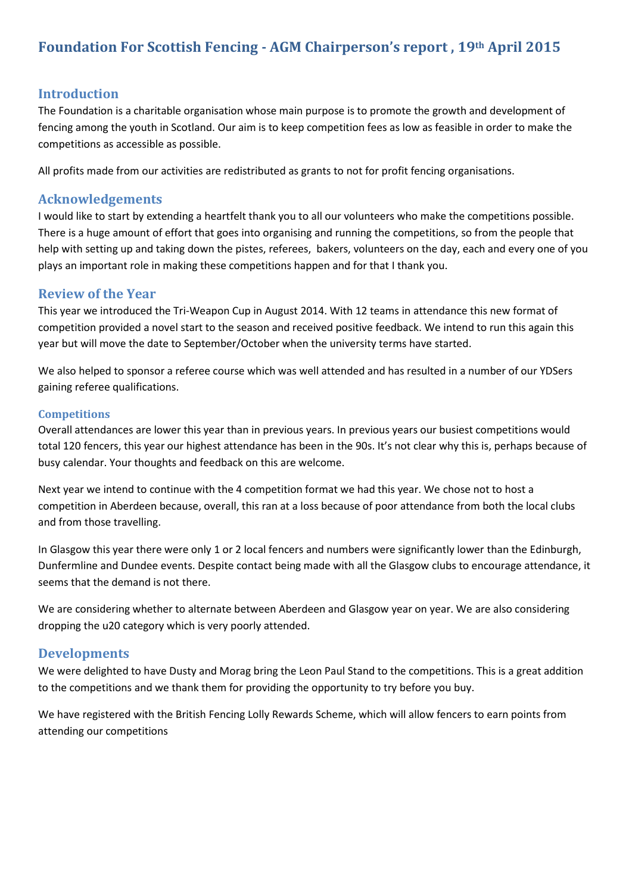# **Foundation For Scottish Fencing - AGM Chairperson's report , 19th April 2015**

### **Introduction**

The Foundation is a charitable organisation whose main purpose is to promote the growth and development of fencing among the youth in Scotland. Our aim is to keep competition fees as low as feasible in order to make the competitions as accessible as possible.

All profits made from our activities are redistributed as grants to not for profit fencing organisations.

#### **Acknowledgements**

I would like to start by extending a heartfelt thank you to all our volunteers who make the competitions possible. There is a huge amount of effort that goes into organising and running the competitions, so from the people that help with setting up and taking down the pistes, referees, bakers, volunteers on the day, each and every one of you plays an important role in making these competitions happen and for that I thank you.

#### **Review of the Year**

This year we introduced the Tri-Weapon Cup in August 2014. With 12 teams in attendance this new format of competition provided a novel start to the season and received positive feedback. We intend to run this again this year but will move the date to September/October when the university terms have started.

We also helped to sponsor a referee course which was well attended and has resulted in a number of our YDSers gaining referee qualifications.

#### **Competitions**

Overall attendances are lower this year than in previous years. In previous years our busiest competitions would total 120 fencers, this year our highest attendance has been in the 90s. It's not clear why this is, perhaps because of busy calendar. Your thoughts and feedback on this are welcome.

Next year we intend to continue with the 4 competition format we had this year. We chose not to host a competition in Aberdeen because, overall, this ran at a loss because of poor attendance from both the local clubs and from those travelling.

In Glasgow this year there were only 1 or 2 local fencers and numbers were significantly lower than the Edinburgh, Dunfermline and Dundee events. Despite contact being made with all the Glasgow clubs to encourage attendance, it seems that the demand is not there.

We are considering whether to alternate between Aberdeen and Glasgow year on year. We are also considering dropping the u20 category which is very poorly attended.

#### **Developments**

We were delighted to have Dusty and Morag bring the Leon Paul Stand to the competitions. This is a great addition to the competitions and we thank them for providing the opportunity to try before you buy.

We have registered with the British Fencing Lolly Rewards Scheme, which will allow fencers to earn points from attending our competitions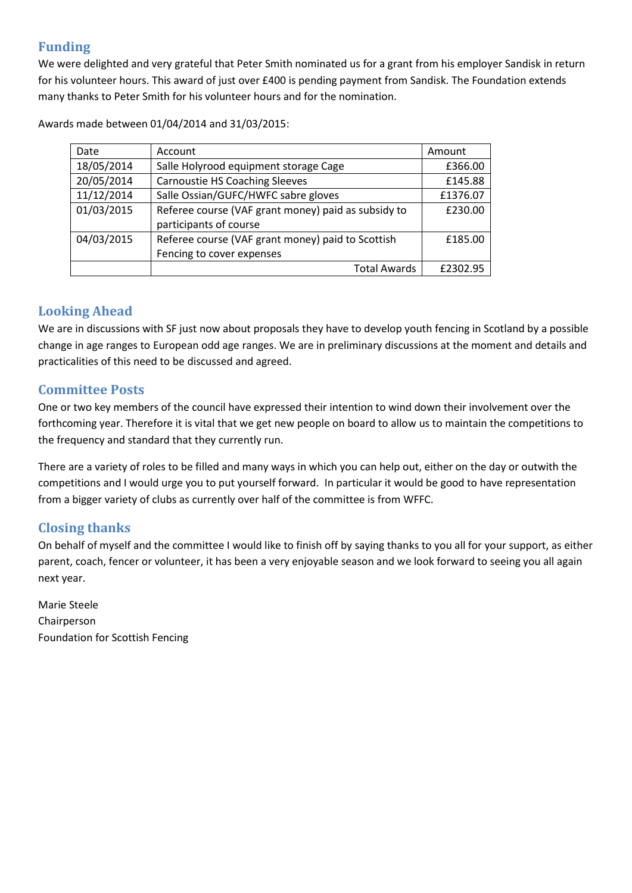## **Funding**

We were delighted and very grateful that Peter Smith nominated us for a grant from his employer Sandisk in return for his volunteer hours. This award of just over £400 is pending payment from Sandisk. The Foundation extends many thanks to Peter Smith for his volunteer hours and for the nomination.

Date Account Account Amount 18/05/2014 | Salle Holyrood equipment storage Cage | £366.00 20/05/2014 | Carnoustie HS Coaching Sleeves | £145.88 11/12/2014 | Salle Ossian/GUFC/HWFC sabre gloves | £1376.07 01/03/2015 Referee course (VAF grant money) paid as subsidy to participants of course £230.00 04/03/2015 | Referee course (VAF grant money) paid to Scottish Fencing to cover expenses £185.00 Total Awards E2302.95

Awards made between 01/04/2014 and 31/03/2015:

## **Looking Ahead**

We are in discussions with SF just now about proposals they have to develop youth fencing in Scotland by a possible change in age ranges to European odd age ranges. We are in preliminary discussions at the moment and details and practicalities of this need to be discussed and agreed.

## **Committee Posts**

One or two key members of the council have expressed their intention to wind down their involvement over the forthcoming year. Therefore it is vital that we get new people on board to allow us to maintain the competitions to the frequency and standard that they currently run.

There are a variety of roles to be filled and many ways in which you can help out, either on the day or outwith the competitions and I would urge you to put yourself forward. In particular it would be good to have representation from a bigger variety of clubs as currently over half of the committee is from WFFC.

## **Closing thanks**

On behalf of myself and the committee I would like to finish off by saying thanks to you all for your support, as either parent, coach, fencer or volunteer, it has been a very enjoyable season and we look forward to seeing you all again next year.

Marie Steele Chairperson Foundation for Scottish Fencing